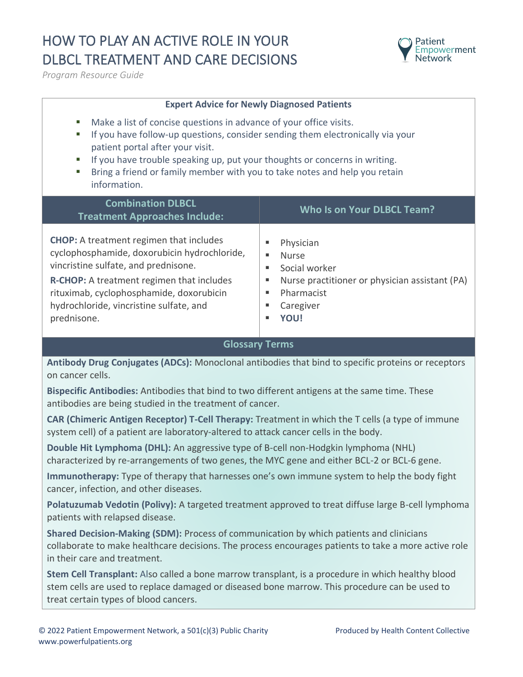## HOW TO PLAY AN ACTIVE ROLE IN YOUR DLBCL TREATMENT AND CARE DECISIONS



*Program Resource Guide*

## **Expert Advice for Newly Diagnosed Patients**

- Make a list of concise questions in advance of your office visits.
- **E** If you have follow-up questions, consider sending them electronically via your patient portal after your visit.
- **EXECT** If you have trouble speaking up, put your thoughts or concerns in writing.
- **E** Bring a friend or family member with you to take notes and help you retain information.

| <b>Combination DLBCL</b><br><b>Treatment Approaches Include:</b>                                                                                                                                                                                                                                 | Who Is on Your DLBCL Team?                                                                                                                |
|--------------------------------------------------------------------------------------------------------------------------------------------------------------------------------------------------------------------------------------------------------------------------------------------------|-------------------------------------------------------------------------------------------------------------------------------------------|
| <b>CHOP:</b> A treatment regimen that includes<br>cyclophosphamide, doxorubicin hydrochloride,<br>vincristine sulfate, and prednisone.<br><b>R-CHOP:</b> A treatment regimen that includes<br>rituximab, cyclophosphamide, doxorubicin<br>hydrochloride, vincristine sulfate, and<br>prednisone. | Physician<br><b>Nurse</b><br>٠<br>Social worker<br>Nurse practitioner or physician assistant (PA)<br>Pharmacist<br>Caregiver<br>YOU!<br>٠ |

## **Glossary Terms**

**Antibody Drug Conjugates (ADCs):** Monoclonal antibodies that bind to specific proteins or receptors on cancer cells.

**Bispecific Antibodies:** Antibodies that bind to two different antigens at the same time. These antibodies are being studied in the treatment of cancer.

**CAR (Chimeric Antigen Receptor) T-Cell Therapy:** Treatment in which the T cells (a type of immune system cell) of a patient are laboratory-altered to attack cancer cells in the body.

**Double Hit Lymphoma (DHL):** An aggressive type of B-cell non-Hodgkin lymphoma (NHL) characterized by re-arrangements of two genes, the MYC gene and either BCL-2 or BCL-6 gene.

**Immunotherapy:** Type of therapy that harnesses one's own immune system to help the body fight cancer, infection, and other diseases.

**Polatuzumab Vedotin (Polivy):** A targeted treatment approved to treat diffuse large B-cell lymphoma patients with relapsed disease.

**Shared Decision-Making (SDM):** Process of communication by which patients and clinicians collaborate to make healthcare decisions. The process encourages patients to take a more active role in their care and treatment.

**Stem Cell Transplant:** Also called a bone marrow transplant, is a procedure in which healthy blood stem cells are used to replace damaged or diseased bone marrow. This procedure can be used to treat certain types of blood cancers.